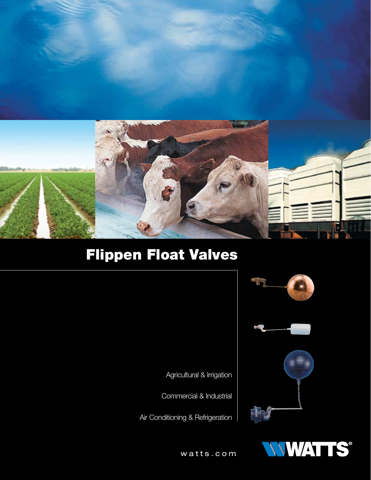

# Flippen Float Valves





Agricultural & Irrigation

Commercial & Industrial

Air Conditioning & Refrigeration



watts.com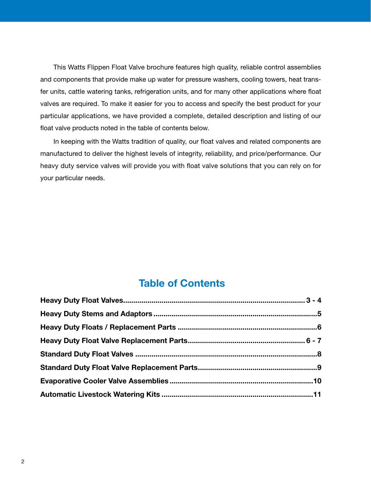This Watts Flippen Float Valve brochure features high quality, reliable control assemblies and components that provide make up water for pressure washers, cooling towers, heat transfer units, cattle watering tanks, refrigeration units, and for many other applications where float valves are required. To make it easier for you to access and specify the best product for your particular applications, we have provided a complete, detailed description and listing of our float valve products noted in the table of contents below.

In keeping with the Watts tradition of quality, our float valves and related components are manufactured to deliver the highest levels of integrity, reliability, and price/performance. Our heavy duty service valves will provide you with float valve solutions that you can rely on for your particular needs.

# Table of Contents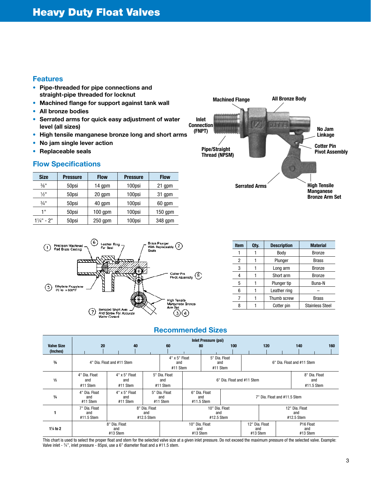#### Features

- Pipe-threaded for pipe connections and straight-pipe threaded for locknut
- Machined flange for support against tank wall
- All bronze bodies
- Serrated arms for quick easy adjustment of water level (all sizes)
- High tensile manganese bronze long and short arms
- No jam single lever action
- Replaceable seals

#### Flow Specifications

| <b>Size</b>           | <b>Pressure</b> | <b>Flow</b> | <b>Pressure</b> | <b>Flow</b> |
|-----------------------|-----------------|-------------|-----------------|-------------|
| $\frac{3}{8}$ "       | 50psi           | 14 gpm      | 100psi          | 21 gpm      |
| $\frac{1}{2}$ "       | 50psi           | 20 gpm      | 100psi          | 31 gpm      |
| $\frac{3}{4}$ "       | 50psi           | 40 gpm      | 100psi          | 60 gpm      |
| 1"                    | 50psi           | $100$ gpm   | 100psi          | $150$ gpm   |
| $1\frac{1}{4}$ " - 2" | 50psi           | $250$ gpm   | 100psi          | 348 gpm     |





| <b>Item</b> | Qty. | <b>Description</b> | <b>Material</b>        |
|-------------|------|--------------------|------------------------|
|             |      | Body               | <b>Bronze</b>          |
| 2           |      | Plunger            | Brass                  |
| 3           |      | Long arm           | <b>Bronze</b>          |
| 4           |      | Short arm          | <b>Bronze</b>          |
| 5           |      | Plunger tip        | Buna-N                 |
| 6           |      | Leather ring       |                        |
|             |      | Thumb screw        | <b>Brass</b>           |
| 8           |      | Cotter pin         | <b>Stainless Steel</b> |

#### Recommended Sizes

|                               |                                    |                                  |                                                                           |                                  |                                                                      | <b>Inlet Pressure (psi)</b>       |     |                                     |                                   |                                    |                            |                              |     |
|-------------------------------|------------------------------------|----------------------------------|---------------------------------------------------------------------------|----------------------------------|----------------------------------------------------------------------|-----------------------------------|-----|-------------------------------------|-----------------------------------|------------------------------------|----------------------------|------------------------------|-----|
| <b>Valve Size</b><br>(Inches) | 20                                 | 40                               |                                                                           | 60                               |                                                                      | 80                                | 100 |                                     | 120                               |                                    | 140                        |                              | 160 |
| $\frac{3}{8}$                 |                                    | 4" Dia. Float and #11 Stem       |                                                                           | 4" x 5" Float<br>and<br>#11 Stem |                                                                      | 5" Dia. Float<br>and<br>#11 Stem  |     |                                     |                                   |                                    | 6" Dia. Float and #11 Stem |                              |     |
| $\frac{1}{2}$                 | 4" Dia. Float<br>and<br>#11 Stem   | 4" x 5" Float<br>and<br>#11 Stem |                                                                           | 5" Dia. Float<br>and<br>#11 Stem | 6" Dia. Float and #11 Stem                                           |                                   |     |                                     |                                   | 8" Dia. Float<br>and<br>#11.5 Stem |                            |                              |     |
| $\frac{3}{4}$                 | 4" Dia, Float<br>and<br>#11 Stem   | 4" x 5" Float<br>and<br>#11 Stem |                                                                           | 5" Dia. Float<br>and<br>#11 Stem | 6" Dia. Float<br>7" Dia. Float and #11.5 Stem<br>and<br>$#11.5$ Stem |                                   |     |                                     |                                   |                                    |                            |                              |     |
|                               | 7" Dia. Float<br>and<br>#11.5 Stem |                                  | 10" Dia. Float<br>8" Dia. Float<br>and<br>and<br>#12.5 Stem<br>#12.5 Stem |                                  |                                                                      |                                   |     | 12" Dia. Float<br>and<br>#12.5 Stem |                                   |                                    |                            |                              |     |
| $1\frac{1}{4}$ to 2           |                                    | 8" Dia. Float<br>and<br>#13 Stem |                                                                           |                                  |                                                                      | 10" Dia. Float<br>and<br>#13 Stem |     |                                     | 12" Dia. Float<br>and<br>#13 Stem |                                    |                            | P16 Float<br>and<br>#13 Stem |     |

This chart is used to select the proper float and stem for the selected valve size at a given inlet pressure. Do not exceed the maximum pressure of the selected valve. Example: Valve inlet - 34", inlet pressure - 85psi, use a 6" diameter float and a #11.5 stem.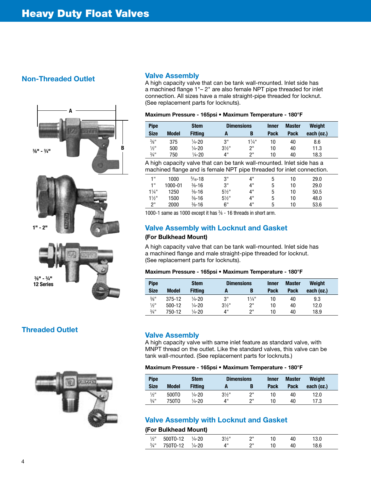### Non-Threaded Outlet





# Threaded Outlet



#### Valve Assembly

A high capacity valve that can be tank wall-mounted. Inlet side has a machined flange 1"– 2" are also female NPT pipe threaded for inlet connection. All sizes have a male straight-pipe threaded for locknut. (See replacement parts for locknuts).

| Maximum Pressure - 165psi • Maximum Temperature - 180°F |  |  |
|---------------------------------------------------------|--|--|
|                                                         |  |  |

| <b>Pipe</b>                 |              | <b>Stem</b>        | <b>Dimensions</b> |                  | <b>Inner</b> | Master | Weight     |
|-----------------------------|--------------|--------------------|-------------------|------------------|--------------|--------|------------|
| <b>Size</b>                 | <b>Model</b> | <b>Fitting</b>     |                   |                  | <b>Pack</b>  | Pack   | each (oz.) |
| $\frac{3}{8}$ <sup>11</sup> | 375          | $\frac{1}{4} - 20$ | 3"                | $1\frac{1}{4}$ " | 10           | 40     | 8.6        |
| $\frac{1}{2}$ "             | 500          | $\frac{1}{4}$ -20  | $3\frac{1}{2}$ "  | ייפ              | 10           | 40     | 11.3       |
| $\frac{3}{4}$ "             | 750          | $\frac{1}{4} - 20$ | 4"                | ייפ              | 10           | 40     | 18.3       |

A high capacity valve that can be tank wall-mounted. Inlet side has a machined flange and is female NPT pipe threaded for inlet connection.

| 1 !!           | 1000    | $\frac{5}{16} - 18$ | 3"               | 4" | ა | 10 | 29.0 |  |
|----------------|---------|---------------------|------------------|----|---|----|------|--|
| 1"             | 1000-01 | $\frac{3}{8} - 16$  | 3"               | 4" | 5 | 10 | 29.0 |  |
| $1\frac{1}{4}$ | 1250    | $\frac{3}{8} - 16$  | $5\frac{1}{2}$ " | 4" | 5 | 10 | 50.5 |  |
| $1\frac{1}{2}$ | 1500    | $\frac{3}{8} - 16$  | $5\frac{1}{2}$ " | 4" | 5 | 10 | 48.0 |  |
| ን"             | 2000    | $\frac{3}{8} - 16$  | 6"               | 4" | 5 | 10 | 53.6 |  |

1000-1 same as 1000 except it has 3 ⁄8 - 16 threads in short arm.

#### Valve Assembly with Locknut and Gasket

#### (For Bulkhead Mount)

A high capacity valve that can be tank wall-mounted. Inlet side has a machined flange and male straight-pipe threaded for locknut. (See replacement parts for locknuts).

#### Maximum Pressure - 165psi • Maximum Temperature - 180°F

| <b>Pipe</b>     |              | <b>Stem</b>        |                  | <b>Dimensions</b> |      | <b>Master</b> | Weight     |  |
|-----------------|--------------|--------------------|------------------|-------------------|------|---------------|------------|--|
| <b>Size</b>     | <b>Model</b> | <b>Fitting</b>     | A                | В                 | Pack | Pack          | each (oz.) |  |
| $\frac{3}{8}$ " | 375-12       | $\frac{1}{4} - 20$ | 3"               | $1\frac{1}{4}$ "  | 10   | 40            | 9.3        |  |
| $\frac{1}{2}$ " | $500-12$     | $\frac{1}{4} - 20$ | $3\frac{1}{2}$ " | 2"                | 10   | 40            | 12.0       |  |
| $\frac{3}{4}$ " | 750-12       | $\frac{1}{4} - 20$ | 4"               | ייפ               | 10   | 40            | 18.9       |  |

#### Valve Assembly

A high capacity valve with same inlet feature as standard valve, with MNPT thread on the outlet. Like the standard valves, this valve can be tank wall-mounted. (See replacement parts for locknuts.)

#### Maximum Pressure - 165psi • Maximum Temperature - 180°F

| <b>Pipe</b>     |              | <b>Stem</b>       | <b>Dimensions</b> |     | <b>Inner</b> | Master | Weight     |  |
|-----------------|--------------|-------------------|-------------------|-----|--------------|--------|------------|--|
| <b>Size</b>     | <b>Model</b> | <b>Fitting</b>    | A                 | B   | <b>Pack</b>  | Pack   | each (oz.) |  |
| $\frac{1}{2}$ " | 500TO        | $\frac{1}{4}$ -20 | $3\frac{1}{2}$ "  | ייפ | 10           | 40     | 12.0       |  |
| $\frac{3}{4}$ " | 750T0        | $\frac{1}{4}$ -20 | 4"                | ייפ | 10           | 40     | 17.3       |  |

## Valve Assembly with Locknut and Gasket

#### (For Bulkhead Mount)

| $\frac{1}{2}$ " | 500TO-12 | $\frac{1}{4} - 20$ | 21/1 | יי |  |  |
|-----------------|----------|--------------------|------|----|--|--|
| $\frac{3}{4}$ " | 750T0-12 | $\frac{1}{4} - 20$ |      | יי |  |  |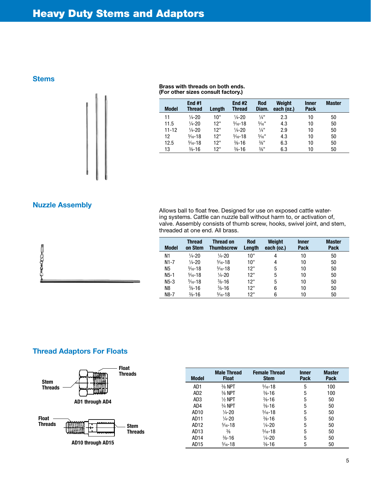**Stems** 



#### Brass with threads on both ends. (For other sizes consult factory.)

| <b>Model</b> | End #1<br><b>Thread</b> | Length | <b>End #2</b><br><b>Thread</b> | <b>Rod</b><br>Diam.          | Weight<br>each (oz.) | <b>Inner</b><br><b>Pack</b> | <b>Master</b> |
|--------------|-------------------------|--------|--------------------------------|------------------------------|----------------------|-----------------------------|---------------|
| 11           | $\frac{1}{4} - 20$      | 10"    | $\frac{1}{4} - 20$             | $\frac{1}{4}$ "              | 2.3                  | 10                          | 50            |
| 11.5         | $\frac{1}{4} - 20$      | 12"    | $\frac{5}{16} - 18$            | $\frac{5}{16}$ <sup>11</sup> | 4.3                  | 10                          | 50            |
| $11 - 12$    | $\frac{1}{4} - 20$      | 12"    | $\frac{1}{4} - 20$             | $\frac{1}{4}$ "              | 2.9                  | 10                          | 50            |
| 12           | $\frac{5}{16} - 18$     | 12"    | $\frac{5}{16} - 18$            | $\frac{5}{16}$ <sup>11</sup> | 4.3                  | 10                          | 50            |
| 12.5         | $\frac{5}{16} - 18$     | 12"    | $\frac{3}{8} - 16$             | $\frac{3}{8}$ <sup>11</sup>  | 6.3                  | 10                          | 50            |
| 13           | $\frac{3}{8} - 16$      | 12"    | $\frac{3}{8} - 16$             | $\frac{3}{8}$ "              | 6.3                  | 10                          | 50            |

Nuzzle Assembly



Allows ball to float free. Designed for use on exposed cattle watering systems. Cattle can nuzzle ball without harm to, or activation of, valve. Assembly consists of thumb screw, hooks, swivel joint, and stem, threaded at one end. All brass.

| <b>Model</b>   | <b>Thread</b><br>on Stem | <b>Thread on</b><br><b>Thumbscrew</b> | <b>Rod</b><br>Length | Weight<br>each (oz.) | <b>Inner</b><br><b>Pack</b> | <b>Master</b><br><b>Pack</b> |
|----------------|--------------------------|---------------------------------------|----------------------|----------------------|-----------------------------|------------------------------|
| N1             | $\frac{1}{4} - 20$       | $\frac{1}{4} - 20$                    | 10"                  | 4                    | 10                          | 50                           |
| $N1-7$         | $\frac{1}{4} - 20$       | $\frac{5}{16} - 18$                   | 10"                  | 4                    | 10                          | 50                           |
| N <sub>5</sub> | $\frac{5}{16} - 18$      | $\frac{5}{16} - 18$                   | 12"                  | 5                    | 10                          | 50                           |
| $N5-1$         | $\frac{5}{16} - 18$      | $\frac{1}{4} - 20$                    | 12"                  | 5                    | 10                          | 50                           |
| $N5-3$         | $\frac{5}{16} - 18$      | $\frac{3}{8} - 16$                    | 12"                  | 5                    | 10                          | 50                           |
| N8             | $\frac{3}{8} - 16$       | $\frac{3}{8} - 16$                    | 12"                  | 6                    | 10                          | 50                           |
| N8-7           | $\frac{3}{8} - 16$       | $\frac{5}{16} - 18$                   | 12"                  | 6                    | 10                          | 50                           |

# Thread Adaptors For Floats



| <b>Model</b>     | <b>Male Thread</b><br><b>Float</b> | <b>Female Thread</b><br><b>Stem</b> | <b>Inner</b><br><b>Pack</b> | <b>Master</b><br><b>Pack</b> |  |
|------------------|------------------------------------|-------------------------------------|-----------------------------|------------------------------|--|
| AD1              | $\frac{3}{8}$ NPT                  | $\frac{5}{16} - 18$                 | 5                           | 100                          |  |
| AD <sub>2</sub>  | $\frac{3}{8}$ NPT                  | $\frac{3}{8} - 16$                  | 5                           | 100                          |  |
| AD3              | $\frac{1}{2}$ NPT                  | $\frac{3}{8} - 16$                  | 5                           | 50                           |  |
| AD4              | $3/4$ NPT                          | $\frac{3}{8} - 16$                  | 5                           | 50                           |  |
| AD <sub>10</sub> | $\frac{1}{4}$ -20                  | $\frac{5}{16} - 18$                 | 5                           | 50                           |  |
| AD11             | $\frac{1}{4} - 20$                 | $\frac{3}{8} - 16$                  | 5                           | 50                           |  |
| AD12             | $\frac{5}{16} - 18$                | $\frac{1}{4} - 20$                  | 5                           | 50                           |  |
| AD <sub>13</sub> | $\frac{3}{8}$                      | $\frac{5}{16} - 18$                 | 5                           | 50                           |  |
| AD14             | $\frac{3}{8} - 16$                 | $\frac{1}{4} - 20$                  | 5                           | 50                           |  |
| AD <sub>15</sub> | $\frac{5}{16} - 18$                | $\frac{3}{8} - 16$                  | 5                           | 50                           |  |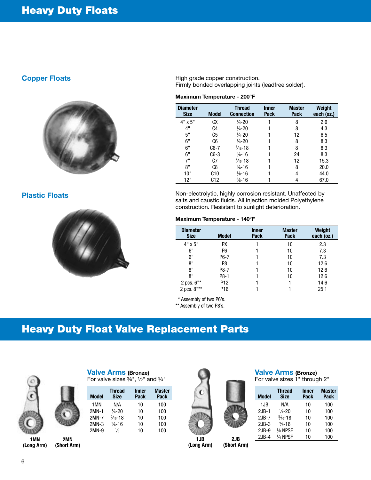#### Copper Floats



### Plastic Floats



High grade copper construction. Firmly bonded overlapping joints (leadfree solder).

#### Maximum Temperature - 200°F

| <b>Diameter</b><br><b>Size</b> | Model          | <b>Thread</b><br><b>Connection</b> | <b>Inner</b><br><b>Pack</b> | <b>Master</b><br><b>Pack</b> | Weight<br>each (oz.) |
|--------------------------------|----------------|------------------------------------|-----------------------------|------------------------------|----------------------|
| $4" \times 5"$                 | CХ             | $\frac{1}{4} - 20$                 |                             | 8                            | 2.6                  |
| 4"                             | C <sub>4</sub> | $\frac{1}{4} - 20$                 |                             | 8                            | 4.3                  |
| 5"                             | C <sub>5</sub> | $\frac{1}{4} - 20$                 |                             | 12                           | 6.5                  |
| 6"                             | C <sub>6</sub> | $\frac{1}{4} - 20$                 |                             | 8                            | 8.3                  |
| 6"                             | $C6-7$         | $\frac{5}{16} - 18$                |                             | 8                            | 8.3                  |
| 6"                             | $C6-3$         | $\frac{3}{8} - 16$                 |                             | 24                           | 8.3                  |
| 7"                             | C7             | $\frac{5}{16} - 18$                |                             | 12                           | 15.3                 |
| 8"                             | C8             | $\frac{3}{8} - 16$                 |                             | 8                            | 20.0                 |
| 10"                            | C10            | $\frac{3}{8} - 16$                 |                             | 4                            | 44.0                 |
| 12"                            | C12            | $\frac{3}{8} - 16$                 |                             |                              | 67.0                 |

Non-electrolytic, highly corrosion resistant. Unaffected by salts and caustic fluids. All injection molded Polyethylene construction. Resistant to sunlight deterioration.

#### Maximum Temperature - 140°F

| <b>Diameter</b><br><b>Size</b>   | <b>Model</b>    | <b>Inner</b><br><b>Pack</b> | <b>Master</b><br><b>Pack</b> | <b>Weight</b><br>each (oz.) |
|----------------------------------|-----------------|-----------------------------|------------------------------|-----------------------------|
| $4" \times 5"$                   | <b>PX</b>       |                             | 10                           | 2.3                         |
| 6"                               | P6              |                             | 10                           | 7.3                         |
| 6"                               | P6-7            |                             | 10                           | 7.3                         |
| 8"                               | P8              |                             | 10                           | 12.6                        |
| 8"                               | P8-7            |                             | 10                           | 12.6                        |
| 8"                               | P8-1            |                             | 10                           | 12.6                        |
| 2 pcs. $6"$ *                    | P <sub>12</sub> |                             |                              | 14.6                        |
| 2 pcs. $8^{\text{II}\star\star}$ | P16             |                             |                              | 25.1                        |

\* Assembly of two P6's.

\*\* Assembly of two P8's.

# Heavy Duty Float Valve Replacement Parts



1MN 2MN<br>(Long Arm) (Short A

(Short Arm)

Valve Arms (Bronze) For valve sizes  $\frac{3}{8}$ ", 1/2" and  $\frac{3}{4}$ "

| <b>Model</b> | <b>Thread</b><br><b>Size</b> | <b>Inner</b><br><b>Pack</b> | <b>Master</b><br><b>Pack</b> |
|--------------|------------------------------|-----------------------------|------------------------------|
| 1MN          | N/A                          | 10                          | 100                          |
| 2MN-1        | $\frac{1}{4} - 20$           | 10                          | 100                          |
| 2MN-7        | $\frac{5}{16} - 18$          | 10                          | 100                          |
| 2MN-3        | $\frac{3}{8} - 16$           | 10                          | 100                          |
| 2MN-9        | 1/8                          | 10                          | 100                          |



1JB 2JB<br>(Long Arm) (Short A (Short Arm)

# Valve Arms (Bronze)

For valve sizes 1" through 2"

| <b>Model</b> | <b>Thread</b><br><b>Size</b> | <b>Inner</b><br><b>Pack</b> | <b>Master</b><br>Pack |
|--------------|------------------------------|-----------------------------|-----------------------|
| 1JB          | N/A                          | 10                          | 100                   |
| $2JB-1$      | $\frac{1}{4} - 20$           | 10                          | 100                   |
| $2JB-7$      | $\frac{5}{16} - 18$          | 10                          | 100                   |
| $2JB-3$      | $\frac{3}{8} - 16$           | 10                          | 100                   |
| $2JB-9$      | 1/8 NPSF                     | 10                          | 100                   |
| $2JB-4$      | $1/4$ NPSF                   | 10                          | 100                   |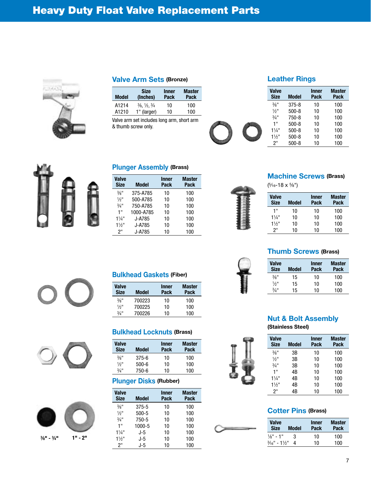

#### Valve Arm Sets (Bronze)

| Model | <b>Size</b><br>(Inches)                       | <b>Inner</b><br>Pack | <b>Master</b><br>Pack |
|-------|-----------------------------------------------|----------------------|-----------------------|
| A1214 | $\frac{3}{6}$ , $\frac{1}{2}$ , $\frac{3}{4}$ | 10                   | 100                   |
| A1210 | 1" (larger)                                   | 10                   | 100                   |

Valve arm set includes long arm, short arm & thumb screw only.

# Leather Rings

| <b>Valve</b><br><b>Size</b> | <b>Model</b> | <b>Inner</b><br><b>Pack</b> | <b>Master</b><br><b>Pack</b> |
|-----------------------------|--------------|-----------------------------|------------------------------|
| $3/8$ <sup>11</sup>         | $375 - 8$    | 10                          | 100                          |
| $1/2$ <sup>11</sup>         | $500 - 8$    | 10                          | 100                          |
| $3/4$ <sup>11</sup>         | $750 - 8$    | 10                          | 100                          |
| 1"                          | $500 - 8$    | 10                          | 100                          |
| $1\frac{1}{4}$ "            | $500 - 8$    | 10                          | 100                          |
| $1\frac{1}{2}$              | $500 - 8$    | 10                          | 100                          |
| 2"                          | $500 - 8$    | 10                          | 100                          |
|                             |              |                             |                              |



#### Plunger Assembly (Brass)

| <b>Valve</b><br><b>Size</b> | <b>Model</b> | <b>Inner</b><br>Pack | <b>Master</b><br>Pack |
|-----------------------------|--------------|----------------------|-----------------------|
| $\frac{3}{8}$ "             | 375-A785     | 10                   | 100                   |
| $\frac{1}{2}$ <sup>11</sup> | 500-A785     | 10                   | 100                   |
| $\frac{3}{4}$ "             | 750-A785     | 10                   | 100                   |
| 1"                          | 1000-A785    | 10                   | 100                   |
| $1\frac{1}{4}$ "            | J-A785       | 10                   | 100                   |
| $1\frac{1}{2}$              | J-A785       | 10                   | 100                   |
| 2"                          | J-A785       | 10                   | 100                   |

# ( 5⁄16-18 x 5⁄8")

Machine Screws (Brass)

| ۰ |  |
|---|--|
| ٠ |  |
|   |  |
|   |  |
| ÷ |  |
| ٠ |  |

| Valve<br><b>Size</b> | <b>Model</b> | <b>Inner</b><br>Pack | <b>Master</b><br>Pack |
|----------------------|--------------|----------------------|-----------------------|
| 1"                   | 10           | 10                   | 100                   |
| 11/4"                | 10           | 10                   | 100                   |
| $1\frac{1}{2}$ "     | 10           | 10                   | 100                   |
| 2"                   | 10           | 10                   | 100                   |

# Thumb Screws (Brass)

| <b>Valve</b><br><b>Size</b> | <b>Model</b> | <b>Inner</b><br>Pack | <b>Master</b><br>Pack |
|-----------------------------|--------------|----------------------|-----------------------|
| $\frac{3}{8}$ "             | 15           | 10                   | 100                   |
| $\frac{1}{2}$ <sup>11</sup> | 15           | 10                   | 100                   |
| $3/4$ <sup>11</sup>         | 15           | 10                   | 100                   |

# Nut & Bolt Assembly

(Stainless Steel)

| Valve<br><b>Size</b> | <b>Model</b> | Inner<br>Pack | <b>Master</b><br>Pack |
|----------------------|--------------|---------------|-----------------------|
| $\frac{3}{8}$ "      | 3B           | 10            | 100                   |
| $1/2$ <sup>11</sup>  | 3B           | 10            | 100                   |
| $3/4$ <sup>11</sup>  | 3B           | 10            | 100                   |
| 1"                   | 4B           | 10            | 100                   |
| $1\frac{1}{4}$       | 4B           | 10            | 100                   |
| $1\frac{1}{2}$       | 4B           | 10            | 100                   |
| 2"                   | 4B           | 10            | 100                   |

## Cotter Pins (Brass)

| Valve<br><b>Size</b>                  | Model | <b>Inner</b><br>Pack | Master<br>Pack |
|---------------------------------------|-------|----------------------|----------------|
| $\frac{1}{8}$ " - 1"                  | З     | 10                   | 100            |
| $\frac{3}{16}$ " - 11/ <sub>2</sub> " | Δ     | 10                   | 100            |









| <b>Valve</b><br><b>Size</b> | <b>Model</b> | <b>Inner</b><br>Pack | <b>Master</b><br>Pack |
|-----------------------------|--------------|----------------------|-----------------------|
| $3/8$ <sup>11</sup>         | 700223       | 10                   | 100                   |
| $\frac{1}{2}$ <sup>11</sup> | 700225       | 10                   | 100                   |
| $3/4$ <sup>11</sup>         | 700226       | 10                   | 100                   |

# Bulkhead Locknuts (Brass)

| <b>Valve</b><br><b>Size</b> | <b>Model</b> | <b>Inner</b><br>Pack | <b>Master</b><br>Pack |
|-----------------------------|--------------|----------------------|-----------------------|
| $\frac{3}{8}$ <sup>11</sup> | $375 - 6$    | 10                   | 100                   |
| $\frac{1}{2}$ <sup>11</sup> | $500 - 6$    | 10                   | 100                   |
| $3/4$ <sup>11</sup>         | 750-6        | 10                   | 100                   |

# Plunger Disks (Rubber)

| <b>Valve</b><br><b>Size</b> | <b>Model</b> | <b>Inner</b><br>Pack | <b>Master</b><br>Pack |
|-----------------------------|--------------|----------------------|-----------------------|
| $\frac{3}{8}$ <sup>11</sup> | $375 - 5$    | 10                   | 100                   |
| $\frac{1}{2}$ "             | $500 - 5$    | 10                   | 100                   |
| $3/4$ <sup>11</sup>         | 750-5        | 10                   | 100                   |
| 1"                          | 1000-5       | 10                   | 100                   |
| $1\frac{1}{4}$ "            | J-5          | 10                   | 100                   |
| $1\frac{1}{2}$ "            | J-5          | 10                   | 100                   |
| 2"                          | J-5          | 10                   | 100                   |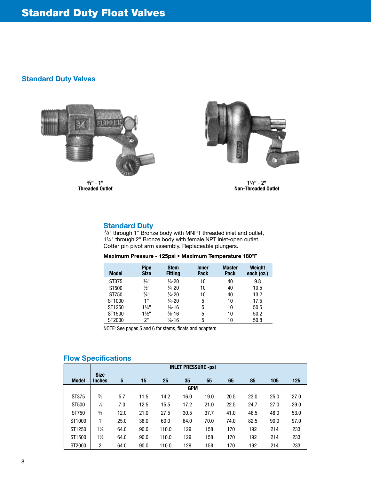# Standard Duty Valves



3 ⁄8" - 1" Threaded Outlet



11 ⁄4" - 2" Non-Threaded Outlet

### Standard Duty

 3⁄8" through 1" Bronze body with MNPT threaded inlet and outlet, 11/4" through 2" Bronze body with female NPT inlet-open outlet. Cotter pin pivot arm assembly. Replaceable plungers.

| Maximum Pressure - 125psi • Maximum Temperature 180°F |  |  |  |  |  |
|-------------------------------------------------------|--|--|--|--|--|
|-------------------------------------------------------|--|--|--|--|--|

| <b>Model</b> | <b>Pipe</b><br><b>Size</b>  | <b>Stem</b><br><b>Fitting</b> | <b>Inner</b><br><b>Pack</b> | <b>Master</b><br><b>Pack</b> | <b>Weight</b><br>each (oz.) |
|--------------|-----------------------------|-------------------------------|-----------------------------|------------------------------|-----------------------------|
| ST375        | $\frac{3}{8}$ <sup>11</sup> | $\frac{1}{4} - 20$            | 10                          | 40                           | 9.8                         |
| ST500        | $\frac{1}{2}$ "             | $\frac{1}{4}$ -20             | 10                          | 40                           | 10.5                        |
| ST750        | $\frac{3}{4}$ <sup>11</sup> | $\frac{1}{4} - 20$            | 10                          | 40                           | 13.2                        |
| ST1000       | 1 "                         | $\frac{1}{4} - 20$            | 5                           | 10                           | 17.5                        |
| ST1250       | $1\frac{1}{4}$ "            | $\frac{3}{8} - 16$            | 5                           | 10                           | 50.5                        |
| ST1500       | $1\frac{1}{2}$ "            | $\frac{3}{8} - 16$            | 5                           | 10                           | 50.2                        |
| ST2000       | 2"                          | $\frac{3}{8} - 16$            | 5                           | 10                           | 50.8                        |

NOTE: See pages 5 and 6 for stems, floats and adapters.

# Flow Specifications

|              |                              |      | <b>INLET PRESSURE -psi</b> |       |            |      |      |      |      |      |
|--------------|------------------------------|------|----------------------------|-------|------------|------|------|------|------|------|
| <b>Model</b> | <b>Size</b><br><b>Inches</b> | 5    | 15                         | 25    | 35         | 55   | 65   | 85   | 105  | 125  |
|              |                              |      |                            |       | <b>GPM</b> |      |      |      |      |      |
| ST375        | $\frac{3}{8}$                | 5.7  | 11.5                       | 14.2  | 16.0       | 19.0 | 20.5 | 23.0 | 25.0 | 27.0 |
| ST500        | $\frac{1}{2}$                | 7.0  | 12.5                       | 15.5  | 17.2       | 21.0 | 22.5 | 24.7 | 27.0 | 29.0 |
| ST750        | $\frac{3}{4}$                | 12.0 | 21.0                       | 27.5  | 30.5       | 37.7 | 41.0 | 46.5 | 48.0 | 53.0 |
| ST1000       | 1                            | 25.0 | 38.0                       | 60.0  | 64.0       | 70.0 | 74.0 | 82.5 | 90.0 | 97.0 |
| ST1250       | $1\frac{1}{4}$               | 64.0 | 90.0                       | 110.0 | 129        | 158  | 170  | 192  | 214  | 233  |
| ST1500       | $1\frac{1}{2}$               | 64.0 | 90.0                       | 110.0 | 129        | 158  | 170  | 192  | 214  | 233  |
| ST2000       | 2                            | 64.0 | 90.0                       | 110.0 | 129        | 158  | 170  | 192  | 214  | 233  |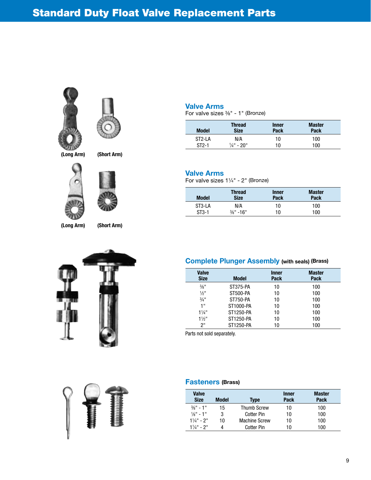



(Long Arm) (Short Arm)



(Long Arm) (Short Arm)





#### Valve Arms

For valve sizes 3⁄8" - 1" (Bronze)

| <b>Model</b>        | <b>Thread</b>         | <b>Inner</b> | <b>Master</b> |
|---------------------|-----------------------|--------------|---------------|
|                     | <b>Size</b>           | <b>Pack</b>  | Pack          |
| ST <sub>2</sub> -LA | N/A                   | 10           | 100           |
| $ST2-1$             | $\frac{1}{4}$ " - 20" | 10           | 100           |

#### Valve Arms

For valve sizes 11⁄4" - 2" (Bronze)

| <b>Model</b> | <b>Thread</b><br><b>Size</b> | <b>Inner</b><br>Pack | <b>Master</b><br>Pack |  |
|--------------|------------------------------|----------------------|-----------------------|--|
| ST3-LA       | N/A                          | 10                   | 100                   |  |
| $ST3-1$      | $\frac{3}{8}$ " -16"         | 10                   | 100                   |  |

# Complete Plunger Assembly (with seals) (Brass)

| <b>Valve</b><br><b>Size</b> | <b>Model</b>    | <b>Inner</b><br><b>Pack</b> | <b>Master</b><br>Pack |
|-----------------------------|-----------------|-----------------------------|-----------------------|
| $\frac{3}{8}$ <sup>11</sup> | ST375-PA        | 10                          | 100                   |
| $1/2$ <sup>11</sup>         | ST500-PA        | 10                          | 100                   |
| $3/4$ <sup>11</sup>         | <b>ST750-PA</b> | 10                          | 100                   |
| 1"                          | ST1000-PA       | 10                          | 100                   |
| $1\frac{1}{4}$ "            | ST1250-PA       | 10                          | 100                   |
| $1\frac{1}{2}$ "            | ST1250-PA       | 10                          | 100                   |
| 2"                          | ST1250-PA       | 10                          | 100                   |

Parts not sold separately.

#### Fasteners (Brass)

| Valve<br><b>Size</b>  | Model | <b>Type</b>          | <b>Inner</b><br>Pack | Master<br><b>Pack</b> |
|-----------------------|-------|----------------------|----------------------|-----------------------|
| $\frac{3}{8}$ " - 1"  | 15    | <b>Thumb Screw</b>   | 10                   | 100                   |
| $\frac{1}{8}$ " - 1"  | 3     | Cotter Pin           | 10                   | 100                   |
| $1\frac{1}{4}$ " - 2" | 10    | <b>Machine Screw</b> | 10                   | 100                   |
| $1\frac{1}{4}$ " - 2" |       | Cotter Pin           | 10                   | 100                   |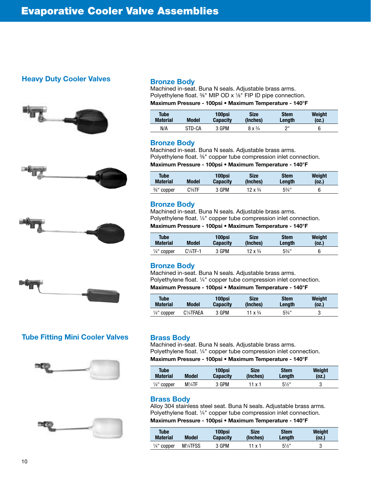# Heavy Duty Cooler Valves









# Tube Fitting Mini Cooler Valves





#### Bronze Body

Machined in-seat. Buna N seals. Adjustable brass arms. Polyethylene float. <sup>3</sup>/<sub>8</sub>" MIP OD x <sup>1</sup>/<sub>8</sub>" FIP ID pipe connection.

Maximum Pressure - 100psi • Maximum Temperature - 140°F

| <b>Tube</b>     | <b>Model</b> | 100psi          | Size                   | Stem   | Weight |
|-----------------|--------------|-----------------|------------------------|--------|--------|
| <b>Material</b> |              | <b>Capacity</b> | (Inches)               | Length | (oz.)  |
| N/A             | STD-CA       | 3 GPM           | $8 \times \frac{3}{4}$ | יימ    |        |

#### Bronze Body

Machined in-seat. Buna N seals. Adjustable brass arms. Polyethylene float. 3⁄8" copper tube compression inlet connection. Maximum Pressure - 100psi • Maximum Temperature - 140°F

| <b>Tube</b>            | Model | 100psi          | <b>Size</b>             | <b>Stem</b>      | Weight |
|------------------------|-------|-----------------|-------------------------|------------------|--------|
| <b>Material</b>        |       | <b>Capacity</b> | (Inches)                | Lenath           | (oz.)  |
| $\frac{3}{8}$ " copper | C%TF  | 3 GPM           | $12 \times \frac{3}{4}$ | $5\frac{3}{4}$ " |        |

#### Bronze Body

Machined in-seat. Buna N seals. Adjustable brass arms. Polyethylene float. 1/4" copper tube compression inlet connection. Maximum Pressure - 100psi • Maximum Temperature - 140°F

| <b>Tube</b>            | <b>Model</b> | 100psi          | <b>Size</b>             | <b>Stem</b>      | Weight |
|------------------------|--------------|-----------------|-------------------------|------------------|--------|
| <b>Material</b>        |              | <b>Capacity</b> | (Inches)                | Lenath           | (oz.)  |
| $\frac{1}{4}$ " copper | $C4TF-1$     | 3 GPM           | $12 \times \frac{3}{4}$ | $5\frac{3}{4}$ " |        |

#### Bronze Body

Machined in-seat. Buna N seals. Adjustable brass arms. Polyethylene float. 1/4" copper tube compression inlet connection. Maximum Pressure - 100psi • Maximum Temperature - 140°F

| Tube                   | <b>Model</b>                        | 100psi          | Size              | <b>Stem</b>      | Weight |
|------------------------|-------------------------------------|-----------------|-------------------|------------------|--------|
| <b>Material</b>        |                                     | <b>Capacity</b> | (Inches)          | Lenath           | (0z.)  |
| $\frac{1}{4}$ " copper | C <sup>1</sup> / <sub>4</sub> TFAEA | 3 GPM           | 11 $x\frac{3}{4}$ | $5\frac{3}{4}$ " |        |

# Brass Body

Machined in-seat. Buna N seals. Adjustable brass arms. Polyethylene float. 1⁄4" copper tube compression inlet connection. Maximum Pressure - 100psi • Maximum Temperature - 140°F

| Tube                   | <b>Model</b>     | 100psi          | <b>Size</b> | <b>Stem</b>      | Weight |
|------------------------|------------------|-----------------|-------------|------------------|--------|
| <b>Material</b>        |                  | <b>Capacity</b> | (Inches)    | Length           | (oz.)  |
| $\frac{1}{4}$ " copper | $M\frac{1}{4}TF$ | 3 GPM           | 11 x 1      | $5\frac{1}{2}$ " | J      |

#### Brass Body

Alloy 304 stainless steel seat. Buna N seals. Adjustable brass arms. Polyethylene float. 1/4" copper tube compression inlet connection.

# Maximum Pressure - 100psi • Maximum Temperature - 140°F

| <b>Tube</b>            | Model  | 100psi          | <b>Size</b> | <b>Stem</b>      | Weight |
|------------------------|--------|-----------------|-------------|------------------|--------|
| <b>Material</b>        |        | <b>Capacity</b> | (Inches)    | Lenath           | (oz.)  |
| $\frac{1}{4}$ " copper | M¼TFSS | 3 GPM           | 11 x 1      | $5\frac{1}{2}$ " |        |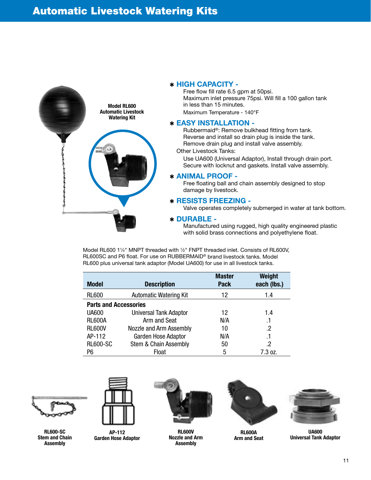

#### ✱ HIGH CAPACITY -

Free flow fill rate 6.5 gpm at 50psi. Maximum inlet pressure 75psi. Will fill a 100 gallon tank in less than 15 minutes. Maximum Temperature - 140°F

#### ✱ EASY INSTALLATION -

Rubbermaid®: Remove bulkhead fitting from tank. Reverse and install so drain plug is inside the tank. Remove drain plug and install valve assembly.

Other Livestock Tanks:

 Use UA600 (Universal Adaptor), Install through drain port. Secure with locknut and gaskets. Install valve assembly.

#### ✱ ANIMAL PROOF -

Free floating ball and chain assembly designed to stop damage by livestock.

#### ✱ RESISTS FREEZING -

Valve operates completely submerged in water at tank bottom.

#### ✱ DURABLE -

 Manufactured using rugged, high quality engineered plastic with solid brass connections and polyethylene float.

Model RL600 11/4" MNPT threaded with 1/2" FNPT threaded inlet. Consists of RL600V, RL600SC and P6 float. For use on RUBBERMAID® brand livestock tanks. Model RL600 plus universal tank adaptor (Model UA600) for use in all livestock tanks.

| <b>Model</b>                 | <b>Description</b>            | <b>Master</b><br><b>Pack</b> | Weight<br>each (lbs.) |
|------------------------------|-------------------------------|------------------------------|-----------------------|
| <b>RL600</b>                 | <b>Automatic Watering Kit</b> | 12                           | 1.4                   |
| <b>Parts and Accessories</b> |                               |                              |                       |
| <b>UA600</b>                 | <b>Universal Tank Adaptor</b> | 12                           | 1.4                   |
| <b>RL600A</b>                | Arm and Seat                  | N/A                          | .1                    |
| <b>RL600V</b>                | Nozzle and Arm Assembly       | 10                           | .2                    |
| AP-112                       | <b>Garden Hose Adaptor</b>    | N/A                          | .1                    |
| <b>RL600-SC</b>              | Stem & Chain Assembly         | 50                           | .2                    |
| P6                           | Float                         | 5                            | 7.3 oz.               |



RL600-SC Stem and Chain **Assembly** 



AP-112 Garden Hose Adaptor



RL600V Nozzle and Arm Assembly



RL600A Arm and Seat



UA600 Universal Tank Adaptor